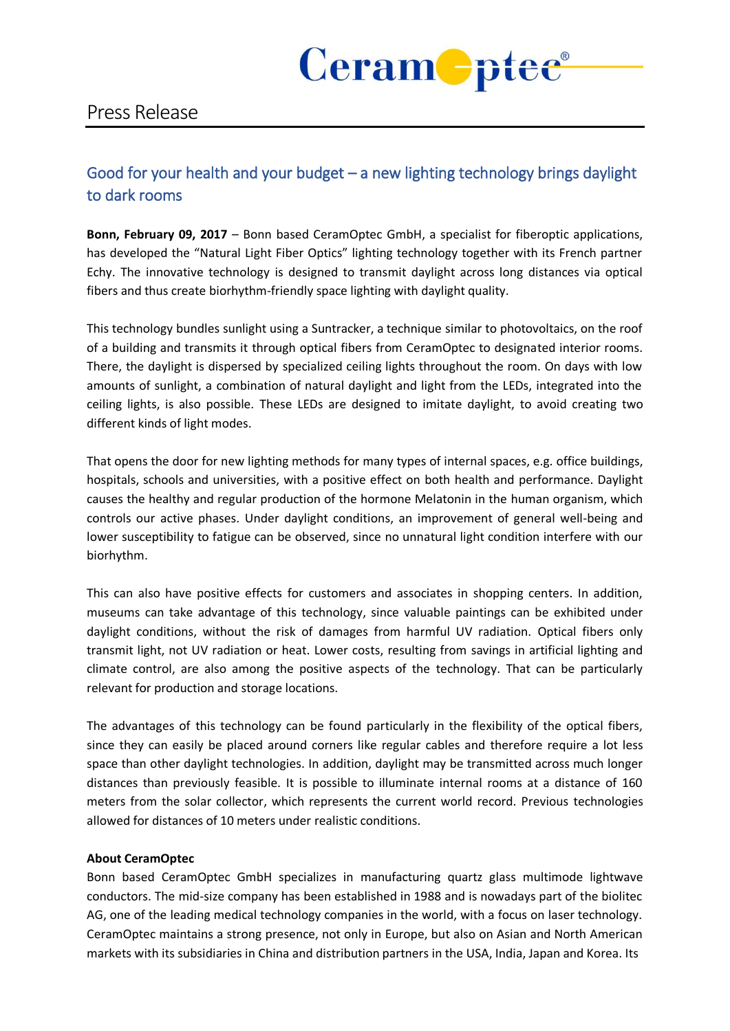

# Press Release

## Good for your health and your budget – a new lighting technology brings daylight to dark rooms

**Bonn, February 09, 2017** – Bonn based CeramOptec GmbH, a specialist for fiberoptic applications, has developed the "Natural Light Fiber Optics" lighting technology together with its French partner Echy. The innovative technology is designed to transmit daylight across long distances via optical fibers and thus create biorhythm-friendly space lighting with daylight quality.

This technology bundles sunlight using a Suntracker, a technique similar to photovoltaics, on the roof of a building and transmits it through optical fibers from CeramOptec to designated interior rooms. There, the daylight is dispersed by specialized ceiling lights throughout the room. On days with low amounts of sunlight, a combination of natural daylight and light from the LEDs, integrated into the ceiling lights, is also possible. These LEDs are designed to imitate daylight, to avoid creating two different kinds of light modes.

That opens the door for new lighting methods for many types of internal spaces, e.g. office buildings, hospitals, schools and universities, with a positive effect on both health and performance. Daylight causes the healthy and regular production of the hormone Melatonin in the human organism, which controls our active phases. Under daylight conditions, an improvement of general well-being and lower susceptibility to fatigue can be observed, since no unnatural light condition interfere with our biorhythm.

This can also have positive effects for customers and associates in shopping centers. In addition, museums can take advantage of this technology, since valuable paintings can be exhibited under daylight conditions, without the risk of damages from harmful UV radiation. Optical fibers only transmit light, not UV radiation or heat. Lower costs, resulting from savings in artificial lighting and climate control, are also among the positive aspects of the technology. That can be particularly relevant for production and storage locations.

The advantages of this technology can be found particularly in the flexibility of the optical fibers, since they can easily be placed around corners like regular cables and therefore require a lot less space than other daylight technologies. In addition, daylight may be transmitted across much longer distances than previously feasible. It is possible to illuminate internal rooms at a distance of 160 meters from the solar collector, which represents the current world record. Previous technologies allowed for distances of 10 meters under realistic conditions.

### **About CeramOptec**

Bonn based CeramOptec GmbH specializes in manufacturing quartz glass multimode lightwave conductors. The mid-size company has been established in 1988 and is nowadays part of the biolitec AG, one of the leading medical technology companies in the world, with a focus on laser technology. CeramOptec maintains a strong presence, not only in Europe, but also on Asian and North American markets with its subsidiaries in China and distribution partners in the USA, India, Japan and Korea. Its